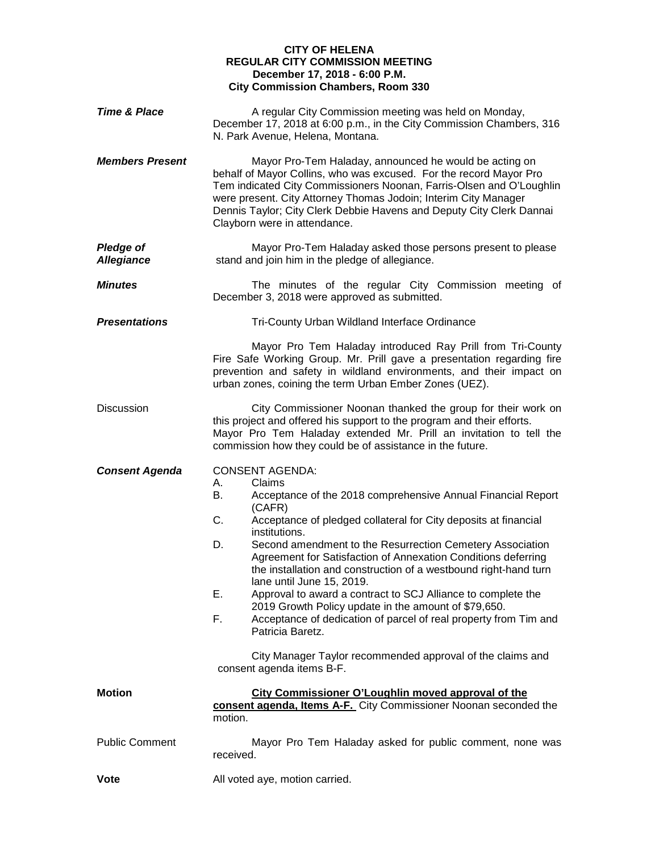## **CITY OF HELENA REGULAR CITY COMMISSION MEETING December 17, 2018 - 6:00 P.M. City Commission Chambers, Room 330**

| Time & Place                          | A regular City Commission meeting was held on Monday,<br>December 17, 2018 at 6:00 p.m., in the City Commission Chambers, 316<br>N. Park Avenue, Helena, Montana.                                                                                                                                                                                                                                                                                                                                                                                                                                                                                                                                                                                                            |
|---------------------------------------|------------------------------------------------------------------------------------------------------------------------------------------------------------------------------------------------------------------------------------------------------------------------------------------------------------------------------------------------------------------------------------------------------------------------------------------------------------------------------------------------------------------------------------------------------------------------------------------------------------------------------------------------------------------------------------------------------------------------------------------------------------------------------|
| <b>Members Present</b>                | Mayor Pro-Tem Haladay, announced he would be acting on<br>behalf of Mayor Collins, who was excused. For the record Mayor Pro<br>Tem indicated City Commissioners Noonan, Farris-Olsen and O'Loughlin<br>were present. City Attorney Thomas Jodoin; Interim City Manager<br>Dennis Taylor; City Clerk Debbie Havens and Deputy City Clerk Dannai<br>Clayborn were in attendance.                                                                                                                                                                                                                                                                                                                                                                                              |
| <b>Pledge of</b><br><b>Allegiance</b> | Mayor Pro-Tem Haladay asked those persons present to please<br>stand and join him in the pledge of allegiance.                                                                                                                                                                                                                                                                                                                                                                                                                                                                                                                                                                                                                                                               |
| <b>Minutes</b>                        | The minutes of the regular City Commission meeting of<br>December 3, 2018 were approved as submitted.                                                                                                                                                                                                                                                                                                                                                                                                                                                                                                                                                                                                                                                                        |
| <b>Presentations</b>                  | Tri-County Urban Wildland Interface Ordinance                                                                                                                                                                                                                                                                                                                                                                                                                                                                                                                                                                                                                                                                                                                                |
|                                       | Mayor Pro Tem Haladay introduced Ray Prill from Tri-County<br>Fire Safe Working Group. Mr. Prill gave a presentation regarding fire<br>prevention and safety in wildland environments, and their impact on<br>urban zones, coining the term Urban Ember Zones (UEZ).                                                                                                                                                                                                                                                                                                                                                                                                                                                                                                         |
| <b>Discussion</b>                     | City Commissioner Noonan thanked the group for their work on<br>this project and offered his support to the program and their efforts.<br>Mayor Pro Tem Haladay extended Mr. Prill an invitation to tell the<br>commission how they could be of assistance in the future.                                                                                                                                                                                                                                                                                                                                                                                                                                                                                                    |
| <b>Consent Agenda</b>                 | <b>CONSENT AGENDA:</b><br>А.<br>Claims<br>Acceptance of the 2018 comprehensive Annual Financial Report<br>В.<br>(CAFR)<br>C.<br>Acceptance of pledged collateral for City deposits at financial<br>institutions.<br>Second amendment to the Resurrection Cemetery Association<br>D.<br>Agreement for Satisfaction of Annexation Conditions deferring<br>the installation and construction of a westbound right-hand turn<br>lane until June 15, 2019.<br>Approval to award a contract to SCJ Alliance to complete the<br>Е.<br>2019 Growth Policy update in the amount of \$79,650.<br>F.<br>Acceptance of dedication of parcel of real property from Tim and<br>Patricia Baretz.<br>City Manager Taylor recommended approval of the claims and<br>consent agenda items B-F. |
| <b>Motion</b>                         | City Commissioner O'Loughlin moved approval of the<br>consent agenda, Items A-F. City Commissioner Noonan seconded the<br>motion.                                                                                                                                                                                                                                                                                                                                                                                                                                                                                                                                                                                                                                            |
| <b>Public Comment</b>                 | Mayor Pro Tem Haladay asked for public comment, none was<br>received.                                                                                                                                                                                                                                                                                                                                                                                                                                                                                                                                                                                                                                                                                                        |
| <b>Vote</b>                           | All voted aye, motion carried.                                                                                                                                                                                                                                                                                                                                                                                                                                                                                                                                                                                                                                                                                                                                               |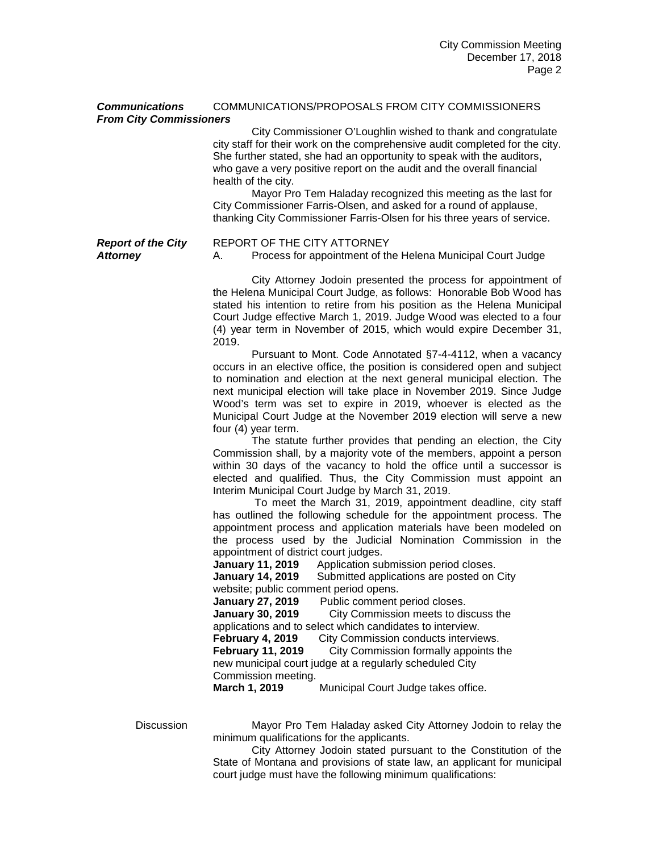## *Communications* COMMUNICATIONS/PROPOSALS FROM CITY COMMISSIONERS *From City Commissioners*

City Commissioner O'Loughlin wished to thank and congratulate city staff for their work on the comprehensive audit completed for the city. She further stated, she had an opportunity to speak with the auditors, who gave a very positive report on the audit and the overall financial health of the city.

Mayor Pro Tem Haladay recognized this meeting as the last for City Commissioner Farris-Olsen, and asked for a round of applause, thanking City Commissioner Farris-Olsen for his three years of service.

*Report of the City* REPORT OF THE CITY ATTORNEY **Attorney** A. Process for appointment of the Helena Municipal Court Judge

> City Attorney Jodoin presented the process for appointment of the Helena Municipal Court Judge, as follows: Honorable Bob Wood has stated his intention to retire from his position as the Helena Municipal Court Judge effective March 1, 2019. Judge Wood was elected to a four (4) year term in November of 2015, which would expire December 31, 2019.

> Pursuant to Mont. Code Annotated §7-4-4112, when a vacancy occurs in an elective office, the position is considered open and subject to nomination and election at the next general municipal election. The next municipal election will take place in November 2019. Since Judge Wood's term was set to expire in 2019, whoever is elected as the Municipal Court Judge at the November 2019 election will serve a new four (4) year term.

> The statute further provides that pending an election, the City Commission shall, by a majority vote of the members, appoint a person within 30 days of the vacancy to hold the office until a successor is elected and qualified. Thus, the City Commission must appoint an Interim Municipal Court Judge by March 31, 2019.

> To meet the March 31, 2019, appointment deadline, city staff has outlined the following schedule for the appointment process. The appointment process and application materials have been modeled on the process used by the Judicial Nomination Commission in the appointment of district court judges.

**January 11, 2019** Application submission period closes.

**January 14, 2019** Submitted applications are posted on City website; public comment period opens.<br>January 27, 2019 Public comment

Public comment period closes.

**January 30, 2019** City Commission meets to discuss the

applications and to select which candidates to interview.<br>**February 4, 2019** City Commission conducts intervie **February 4, 2019** City Commission conducts interviews.<br>**February 11, 2019** City Commission formally appoints t **City Commission formally appoints the** new municipal court judge at a regularly scheduled City Commission meeting.<br>March 1, 2019

Municipal Court Judge takes office.

Discussion Mayor Pro Tem Haladay asked City Attorney Jodoin to relay the minimum qualifications for the applicants.

> City Attorney Jodoin stated pursuant to the Constitution of the State of Montana and provisions of state law, an applicant for municipal court judge must have the following minimum qualifications: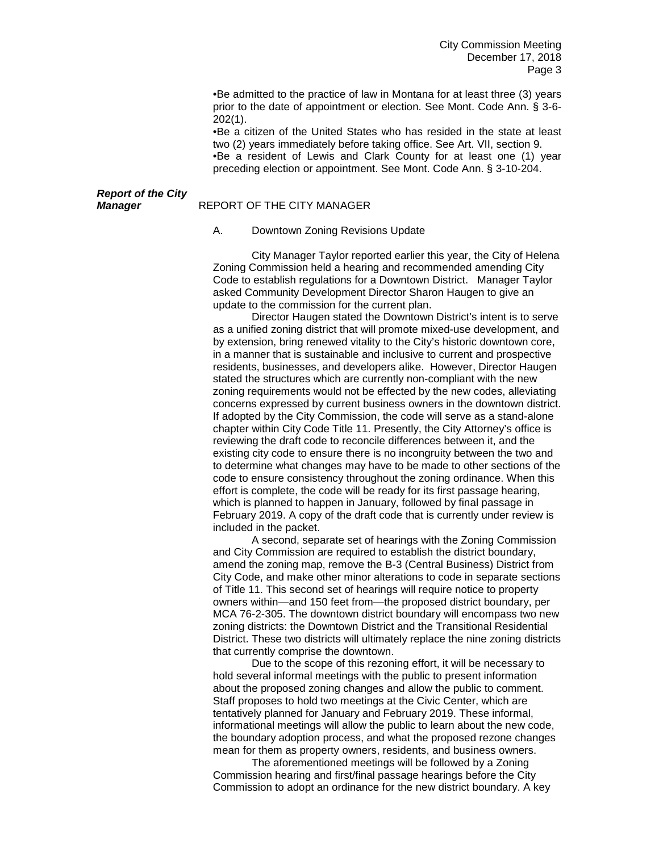•Be admitted to the practice of law in Montana for at least three (3) years prior to the date of appointment or election. See Mont. Code Ann. § 3-6- 202(1).

•Be a citizen of the United States who has resided in the state at least two (2) years immediately before taking office. See Art. VII, section 9. •Be a resident of Lewis and Clark County for at least one (1) year preceding election or appointment. See Mont. Code Ann. § 3-10-204.

# *Report of the City*

#### *Manager* REPORT OF THE CITY MANAGER

A. Downtown Zoning Revisions Update

City Manager Taylor reported earlier this year, the City of Helena Zoning Commission held a hearing and recommended amending City Code to establish regulations for a Downtown District. Manager Taylor asked Community Development Director Sharon Haugen to give an update to the commission for the current plan.

Director Haugen stated the Downtown District's intent is to serve as a unified zoning district that will promote mixed-use development, and by extension, bring renewed vitality to the City's historic downtown core, in a manner that is sustainable and inclusive to current and prospective residents, businesses, and developers alike. However, Director Haugen stated the structures which are currently non-compliant with the new zoning requirements would not be effected by the new codes, alleviating concerns expressed by current business owners in the downtown district. If adopted by the City Commission, the code will serve as a stand-alone chapter within City Code Title 11. Presently, the City Attorney's office is reviewing the draft code to reconcile differences between it, and the existing city code to ensure there is no incongruity between the two and to determine what changes may have to be made to other sections of the code to ensure consistency throughout the zoning ordinance. When this effort is complete, the code will be ready for its first passage hearing, which is planned to happen in January, followed by final passage in February 2019. A copy of the draft code that is currently under review is included in the packet.

A second, separate set of hearings with the Zoning Commission and City Commission are required to establish the district boundary, amend the zoning map, remove the B-3 (Central Business) District from City Code, and make other minor alterations to code in separate sections of Title 11. This second set of hearings will require notice to property owners within—and 150 feet from—the proposed district boundary, per MCA 76-2-305. The downtown district boundary will encompass two new zoning districts: the Downtown District and the Transitional Residential District. These two districts will ultimately replace the nine zoning districts that currently comprise the downtown.

Due to the scope of this rezoning effort, it will be necessary to hold several informal meetings with the public to present information about the proposed zoning changes and allow the public to comment. Staff proposes to hold two meetings at the Civic Center, which are tentatively planned for January and February 2019. These informal, informational meetings will allow the public to learn about the new code, the boundary adoption process, and what the proposed rezone changes mean for them as property owners, residents, and business owners.

The aforementioned meetings will be followed by a Zoning Commission hearing and first/final passage hearings before the City Commission to adopt an ordinance for the new district boundary. A key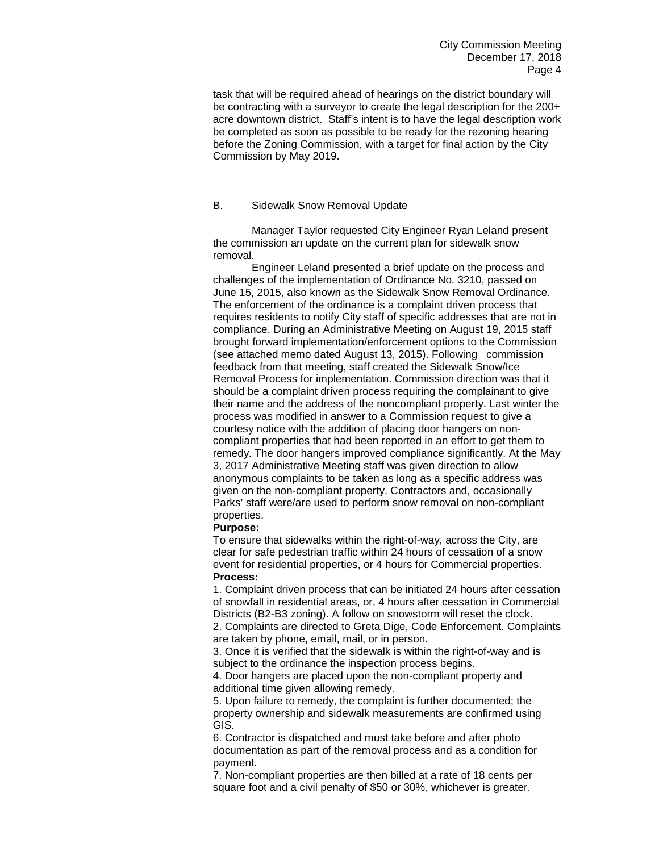task that will be required ahead of hearings on the district boundary will be contracting with a surveyor to create the legal description for the 200+ acre downtown district. Staff's intent is to have the legal description work be completed as soon as possible to be ready for the rezoning hearing before the Zoning Commission, with a target for final action by the City Commission by May 2019.

### B. Sidewalk Snow Removal Update

Manager Taylor requested City Engineer Ryan Leland present the commission an update on the current plan for sidewalk snow removal.

Engineer Leland presented a brief update on the process and challenges of the implementation of Ordinance No. 3210, passed on June 15, 2015, also known as the Sidewalk Snow Removal Ordinance. The enforcement of the ordinance is a complaint driven process that requires residents to notify City staff of specific addresses that are not in compliance. During an Administrative Meeting on August 19, 2015 staff brought forward implementation/enforcement options to the Commission (see attached memo dated August 13, 2015). Following commission feedback from that meeting, staff created the Sidewalk Snow/Ice Removal Process for implementation. Commission direction was that it should be a complaint driven process requiring the complainant to give their name and the address of the noncompliant property. Last winter the process was modified in answer to a Commission request to give a courtesy notice with the addition of placing door hangers on noncompliant properties that had been reported in an effort to get them to remedy. The door hangers improved compliance significantly. At the May 3, 2017 Administrative Meeting staff was given direction to allow anonymous complaints to be taken as long as a specific address was given on the non-compliant property. Contractors and, occasionally Parks' staff were/are used to perform snow removal on non-compliant properties.

# **Purpose:**

To ensure that sidewalks within the right-of-way, across the City, are clear for safe pedestrian traffic within 24 hours of cessation of a snow event for residential properties, or 4 hours for Commercial properties. **Process:**

1. Complaint driven process that can be initiated 24 hours after cessation of snowfall in residential areas, or, 4 hours after cessation in Commercial Districts (B2-B3 zoning). A follow on snowstorm will reset the clock.

2. Complaints are directed to Greta Dige, Code Enforcement. Complaints are taken by phone, email, mail, or in person.

3. Once it is verified that the sidewalk is within the right-of-way and is subject to the ordinance the inspection process begins.

4. Door hangers are placed upon the non-compliant property and additional time given allowing remedy.

5. Upon failure to remedy, the complaint is further documented; the property ownership and sidewalk measurements are confirmed using GIS.

6. Contractor is dispatched and must take before and after photo documentation as part of the removal process and as a condition for payment.

7. Non-compliant properties are then billed at a rate of 18 cents per square foot and a civil penalty of \$50 or 30%, whichever is greater.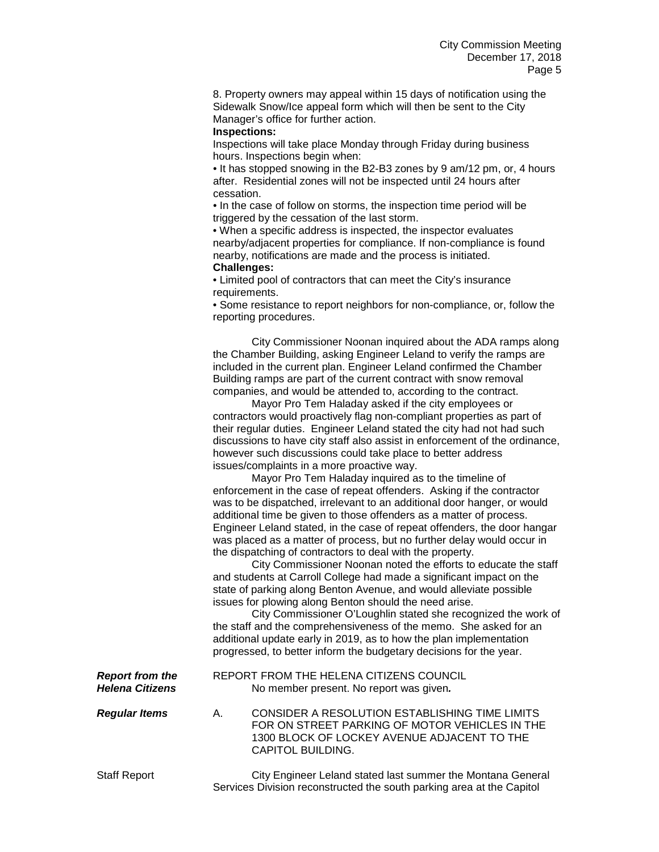8. Property owners may appeal within 15 days of notification using the Sidewalk Snow/Ice appeal form which will then be sent to the City Manager's office for further action.

#### **Inspections:**

Inspections will take place Monday through Friday during business hours. Inspections begin when:

• It has stopped snowing in the B2-B3 zones by 9 am/12 pm, or, 4 hours after. Residential zones will not be inspected until 24 hours after cessation.

• In the case of follow on storms, the inspection time period will be triggered by the cessation of the last storm.

• When a specific address is inspected, the inspector evaluates nearby/adjacent properties for compliance. If non-compliance is found nearby, notifications are made and the process is initiated. **Challenges:**

• Limited pool of contractors that can meet the City's insurance requirements.

• Some resistance to report neighbors for non-compliance, or, follow the reporting procedures.

City Commissioner Noonan inquired about the ADA ramps along the Chamber Building, asking Engineer Leland to verify the ramps are included in the current plan. Engineer Leland confirmed the Chamber Building ramps are part of the current contract with snow removal companies, and would be attended to, according to the contract.

Mayor Pro Tem Haladay asked if the city employees or contractors would proactively flag non-compliant properties as part of their regular duties. Engineer Leland stated the city had not had such discussions to have city staff also assist in enforcement of the ordinance, however such discussions could take place to better address issues/complaints in a more proactive way.

Mayor Pro Tem Haladay inquired as to the timeline of enforcement in the case of repeat offenders. Asking if the contractor was to be dispatched, irrelevant to an additional door hanger, or would additional time be given to those offenders as a matter of process. Engineer Leland stated, in the case of repeat offenders, the door hangar was placed as a matter of process, but no further delay would occur in the dispatching of contractors to deal with the property.

City Commissioner Noonan noted the efforts to educate the staff and students at Carroll College had made a significant impact on the state of parking along Benton Avenue, and would alleviate possible issues for plowing along Benton should the need arise.

City Commissioner O'Loughlin stated she recognized the work of the staff and the comprehensiveness of the memo. She asked for an additional update early in 2019, as to how the plan implementation progressed, to better inform the budgetary decisions for the year.

**Report from the REPORT FROM THE HELENA CITIZENS COUNCIL**<br> **Helena Citizens No member present. No report was given.** *Helena Citizens* No member present. No report was given*.*

*Regular Items* A. CONSIDER A RESOLUTION ESTABLISHING TIME LIMITS FOR ON STREET PARKING OF MOTOR VEHICLES IN THE 1300 BLOCK OF LOCKEY AVENUE ADJACENT TO THE CAPITOL BUILDING.

Staff Report City Engineer Leland stated last summer the Montana General Services Division reconstructed the south parking area at the Capitol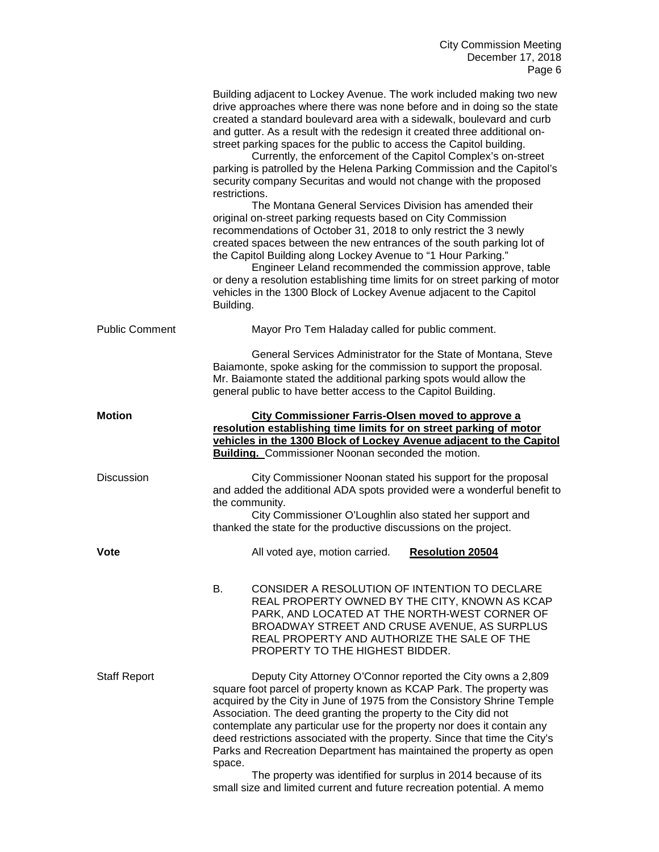|                       | Building adjacent to Lockey Avenue. The work included making two new<br>drive approaches where there was none before and in doing so the state<br>created a standard boulevard area with a sidewalk, boulevard and curb<br>and gutter. As a result with the redesign it created three additional on-<br>street parking spaces for the public to access the Capitol building.<br>Currently, the enforcement of the Capitol Complex's on-street<br>parking is patrolled by the Helena Parking Commission and the Capitol's<br>security company Securitas and would not change with the proposed<br>restrictions.<br>The Montana General Services Division has amended their<br>original on-street parking requests based on City Commission<br>recommendations of October 31, 2018 to only restrict the 3 newly<br>created spaces between the new entrances of the south parking lot of<br>the Capitol Building along Lockey Avenue to "1 Hour Parking."<br>Engineer Leland recommended the commission approve, table<br>or deny a resolution establishing time limits for on street parking of motor<br>vehicles in the 1300 Block of Lockey Avenue adjacent to the Capitol<br>Building. |
|-----------------------|-----------------------------------------------------------------------------------------------------------------------------------------------------------------------------------------------------------------------------------------------------------------------------------------------------------------------------------------------------------------------------------------------------------------------------------------------------------------------------------------------------------------------------------------------------------------------------------------------------------------------------------------------------------------------------------------------------------------------------------------------------------------------------------------------------------------------------------------------------------------------------------------------------------------------------------------------------------------------------------------------------------------------------------------------------------------------------------------------------------------------------------------------------------------------------------------|
| <b>Public Comment</b> | Mayor Pro Tem Haladay called for public comment.                                                                                                                                                                                                                                                                                                                                                                                                                                                                                                                                                                                                                                                                                                                                                                                                                                                                                                                                                                                                                                                                                                                                        |
|                       | General Services Administrator for the State of Montana, Steve<br>Baiamonte, spoke asking for the commission to support the proposal.<br>Mr. Baiamonte stated the additional parking spots would allow the<br>general public to have better access to the Capitol Building.                                                                                                                                                                                                                                                                                                                                                                                                                                                                                                                                                                                                                                                                                                                                                                                                                                                                                                             |
| <b>Motion</b>         | <b>City Commissioner Farris-Olsen moved to approve a</b><br>resolution establishing time limits for on street parking of motor<br>vehicles in the 1300 Block of Lockey Avenue adjacent to the Capitol<br><b>Building.</b> Commissioner Noonan seconded the motion.                                                                                                                                                                                                                                                                                                                                                                                                                                                                                                                                                                                                                                                                                                                                                                                                                                                                                                                      |
| <b>Discussion</b>     | City Commissioner Noonan stated his support for the proposal<br>and added the additional ADA spots provided were a wonderful benefit to<br>the community.<br>City Commissioner O'Loughlin also stated her support and<br>thanked the state for the productive discussions on the project.                                                                                                                                                                                                                                                                                                                                                                                                                                                                                                                                                                                                                                                                                                                                                                                                                                                                                               |
| <b>Vote</b>           | All voted aye, motion carried.<br><b>Resolution 20504</b>                                                                                                                                                                                                                                                                                                                                                                                                                                                                                                                                                                                                                                                                                                                                                                                                                                                                                                                                                                                                                                                                                                                               |
|                       | В.<br>CONSIDER A RESOLUTION OF INTENTION TO DECLARE<br>REAL PROPERTY OWNED BY THE CITY, KNOWN AS KCAP<br>PARK, AND LOCATED AT THE NORTH-WEST CORNER OF<br>BROADWAY STREET AND CRUSE AVENUE, AS SURPLUS<br>REAL PROPERTY AND AUTHORIZE THE SALE OF THE<br>PROPERTY TO THE HIGHEST BIDDER.                                                                                                                                                                                                                                                                                                                                                                                                                                                                                                                                                                                                                                                                                                                                                                                                                                                                                                |
| <b>Staff Report</b>   | Deputy City Attorney O'Connor reported the City owns a 2,809<br>square foot parcel of property known as KCAP Park. The property was<br>acquired by the City in June of 1975 from the Consistory Shrine Temple<br>Association. The deed granting the property to the City did not<br>contemplate any particular use for the property nor does it contain any<br>deed restrictions associated with the property. Since that time the City's<br>Parks and Recreation Department has maintained the property as open<br>space.<br>The property was identified for surplus in 2014 because of its<br>small size and limited current and future recreation potential. A memo                                                                                                                                                                                                                                                                                                                                                                                                                                                                                                                  |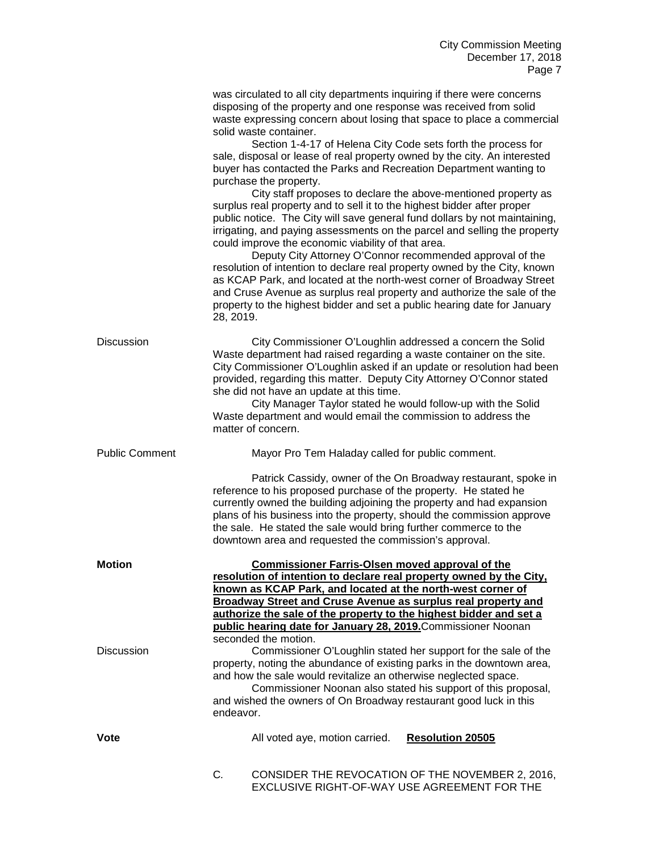|                       | was circulated to all city departments inquiring if there were concerns<br>disposing of the property and one response was received from solid<br>waste expressing concern about losing that space to place a commercial<br>solid waste container.<br>Section 1-4-17 of Helena City Code sets forth the process for<br>sale, disposal or lease of real property owned by the city. An interested<br>buyer has contacted the Parks and Recreation Department wanting to<br>purchase the property.<br>City staff proposes to declare the above-mentioned property as<br>surplus real property and to sell it to the highest bidder after proper<br>public notice. The City will save general fund dollars by not maintaining,<br>irrigating, and paying assessments on the parcel and selling the property<br>could improve the economic viability of that area.<br>Deputy City Attorney O'Connor recommended approval of the<br>resolution of intention to declare real property owned by the City, known<br>as KCAP Park, and located at the north-west corner of Broadway Street<br>and Cruse Avenue as surplus real property and authorize the sale of the<br>property to the highest bidder and set a public hearing date for January<br>28, 2019. |                         |
|-----------------------|------------------------------------------------------------------------------------------------------------------------------------------------------------------------------------------------------------------------------------------------------------------------------------------------------------------------------------------------------------------------------------------------------------------------------------------------------------------------------------------------------------------------------------------------------------------------------------------------------------------------------------------------------------------------------------------------------------------------------------------------------------------------------------------------------------------------------------------------------------------------------------------------------------------------------------------------------------------------------------------------------------------------------------------------------------------------------------------------------------------------------------------------------------------------------------------------------------------------------------------------------|-------------------------|
| <b>Discussion</b>     | City Commissioner O'Loughlin addressed a concern the Solid<br>Waste department had raised regarding a waste container on the site.<br>City Commissioner O'Loughlin asked if an update or resolution had been<br>provided, regarding this matter. Deputy City Attorney O'Connor stated<br>she did not have an update at this time.<br>City Manager Taylor stated he would follow-up with the Solid<br>Waste department and would email the commission to address the<br>matter of concern.                                                                                                                                                                                                                                                                                                                                                                                                                                                                                                                                                                                                                                                                                                                                                            |                         |
| <b>Public Comment</b> | Mayor Pro Tem Haladay called for public comment.                                                                                                                                                                                                                                                                                                                                                                                                                                                                                                                                                                                                                                                                                                                                                                                                                                                                                                                                                                                                                                                                                                                                                                                                     |                         |
|                       | Patrick Cassidy, owner of the On Broadway restaurant, spoke in<br>reference to his proposed purchase of the property. He stated he<br>currently owned the building adjoining the property and had expansion<br>plans of his business into the property, should the commission approve<br>the sale. He stated the sale would bring further commerce to the<br>downtown area and requested the commission's approval.                                                                                                                                                                                                                                                                                                                                                                                                                                                                                                                                                                                                                                                                                                                                                                                                                                  |                         |
| <b>Motion</b>         | <b>Commissioner Farris-Olsen moved approval of the</b><br>resolution of intention to declare real property owned by the City,<br>known as KCAP Park, and located at the north-west corner of<br>Broadway Street and Cruse Avenue as surplus real property and<br>authorize the sale of the property to the highest bidder and set a<br>public hearing date for January 28, 2019. Commissioner Noonan                                                                                                                                                                                                                                                                                                                                                                                                                                                                                                                                                                                                                                                                                                                                                                                                                                                 |                         |
| <b>Discussion</b>     | seconded the motion.<br>Commissioner O'Loughlin stated her support for the sale of the<br>property, noting the abundance of existing parks in the downtown area,<br>and how the sale would revitalize an otherwise neglected space.<br>Commissioner Noonan also stated his support of this proposal,<br>and wished the owners of On Broadway restaurant good luck in this<br>endeavor.                                                                                                                                                                                                                                                                                                                                                                                                                                                                                                                                                                                                                                                                                                                                                                                                                                                               |                         |
| Vote                  | All voted aye, motion carried.                                                                                                                                                                                                                                                                                                                                                                                                                                                                                                                                                                                                                                                                                                                                                                                                                                                                                                                                                                                                                                                                                                                                                                                                                       | <b>Resolution 20505</b> |
|                       | C.<br>CONSIDER THE REVOCATION OF THE NOVEMBER 2, 2016,<br>EXCLUSIVE RIGHT-OF-WAY USE AGREEMENT FOR THE                                                                                                                                                                                                                                                                                                                                                                                                                                                                                                                                                                                                                                                                                                                                                                                                                                                                                                                                                                                                                                                                                                                                               |                         |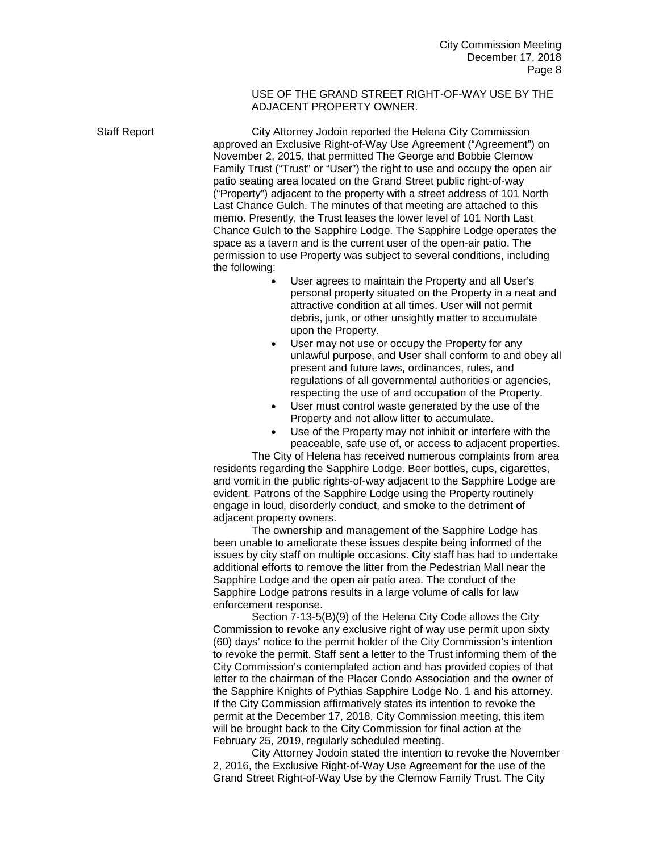### USE OF THE GRAND STREET RIGHT-OF-WAY USE BY THE ADJACENT PROPERTY OWNER.

Staff Report City Attorney Jodoin reported the Helena City Commission approved an Exclusive Right-of-Way Use Agreement ("Agreement") on November 2, 2015, that permitted The George and Bobbie Clemow Family Trust ("Trust" or "User") the right to use and occupy the open air patio seating area located on the Grand Street public right-of-way ("Property") adjacent to the property with a street address of 101 North Last Chance Gulch. The minutes of that meeting are attached to this memo. Presently, the Trust leases the lower level of 101 North Last Chance Gulch to the Sapphire Lodge. The Sapphire Lodge operates the space as a tavern and is the current user of the open-air patio. The permission to use Property was subject to several conditions, including the following:

- User agrees to maintain the Property and all User's personal property situated on the Property in a neat and attractive condition at all times. User will not permit debris, junk, or other unsightly matter to accumulate upon the Property.
- User may not use or occupy the Property for any unlawful purpose, and User shall conform to and obey all present and future laws, ordinances, rules, and regulations of all governmental authorities or agencies, respecting the use of and occupation of the Property.
- User must control waste generated by the use of the Property and not allow litter to accumulate.
- Use of the Property may not inhibit or interfere with the peaceable, safe use of, or access to adjacent properties.

The City of Helena has received numerous complaints from area residents regarding the Sapphire Lodge. Beer bottles, cups, cigarettes, and vomit in the public rights-of-way adjacent to the Sapphire Lodge are evident. Patrons of the Sapphire Lodge using the Property routinely engage in loud, disorderly conduct, and smoke to the detriment of adjacent property owners.

The ownership and management of the Sapphire Lodge has been unable to ameliorate these issues despite being informed of the issues by city staff on multiple occasions. City staff has had to undertake additional efforts to remove the litter from the Pedestrian Mall near the Sapphire Lodge and the open air patio area. The conduct of the Sapphire Lodge patrons results in a large volume of calls for law enforcement response.

Section 7-13-5(B)(9) of the Helena City Code allows the City Commission to revoke any exclusive right of way use permit upon sixty (60) days' notice to the permit holder of the City Commission's intention to revoke the permit. Staff sent a letter to the Trust informing them of the City Commission's contemplated action and has provided copies of that letter to the chairman of the Placer Condo Association and the owner of the Sapphire Knights of Pythias Sapphire Lodge No. 1 and his attorney. If the City Commission affirmatively states its intention to revoke the permit at the December 17, 2018, City Commission meeting, this item will be brought back to the City Commission for final action at the February 25, 2019, regularly scheduled meeting.

City Attorney Jodoin stated the intention to revoke the November 2, 2016, the Exclusive Right-of-Way Use Agreement for the use of the Grand Street Right-of-Way Use by the Clemow Family Trust. The City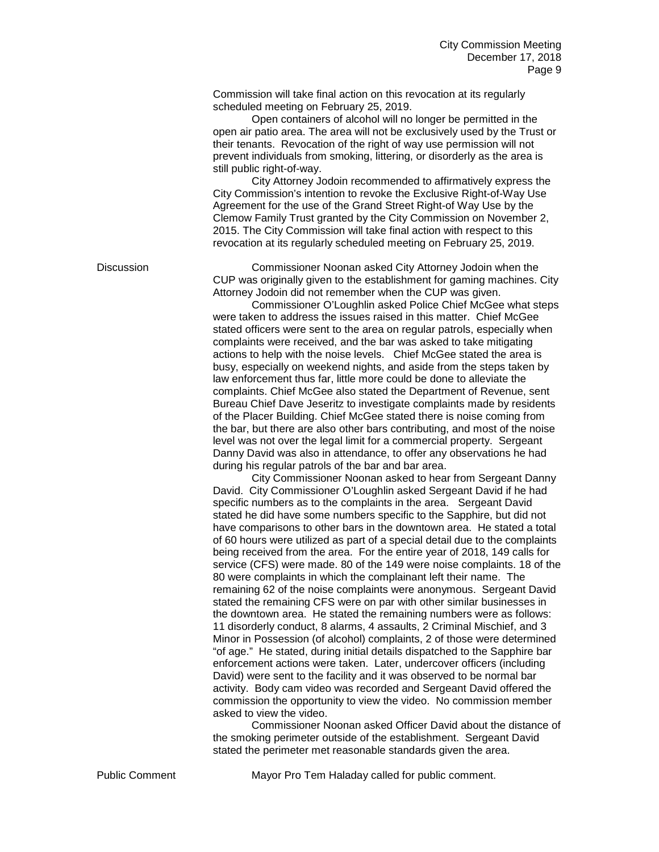Commission will take final action on this revocation at its regularly scheduled meeting on February 25, 2019.

Open containers of alcohol will no longer be permitted in the open air patio area. The area will not be exclusively used by the Trust or their tenants. Revocation of the right of way use permission will not prevent individuals from smoking, littering, or disorderly as the area is still public right-of-way.

City Attorney Jodoin recommended to affirmatively express the City Commission's intention to revoke the Exclusive Right-of-Way Use Agreement for the use of the Grand Street Right-of Way Use by the Clemow Family Trust granted by the City Commission on November 2, 2015. The City Commission will take final action with respect to this revocation at its regularly scheduled meeting on February 25, 2019.

Discussion Commissioner Noonan asked City Attorney Jodoin when the CUP was originally given to the establishment for gaming machines. City Attorney Jodoin did not remember when the CUP was given.

Commissioner O'Loughlin asked Police Chief McGee what steps were taken to address the issues raised in this matter. Chief McGee stated officers were sent to the area on regular patrols, especially when complaints were received, and the bar was asked to take mitigating actions to help with the noise levels. Chief McGee stated the area is busy, especially on weekend nights, and aside from the steps taken by law enforcement thus far, little more could be done to alleviate the complaints. Chief McGee also stated the Department of Revenue, sent Bureau Chief Dave Jeseritz to investigate complaints made by residents of the Placer Building. Chief McGee stated there is noise coming from the bar, but there are also other bars contributing, and most of the noise level was not over the legal limit for a commercial property. Sergeant Danny David was also in attendance, to offer any observations he had during his regular patrols of the bar and bar area.

City Commissioner Noonan asked to hear from Sergeant Danny David. City Commissioner O'Loughlin asked Sergeant David if he had specific numbers as to the complaints in the area. Sergeant David stated he did have some numbers specific to the Sapphire, but did not have comparisons to other bars in the downtown area. He stated a total of 60 hours were utilized as part of a special detail due to the complaints being received from the area. For the entire year of 2018, 149 calls for service (CFS) were made. 80 of the 149 were noise complaints. 18 of the 80 were complaints in which the complainant left their name. The remaining 62 of the noise complaints were anonymous. Sergeant David stated the remaining CFS were on par with other similar businesses in the downtown area. He stated the remaining numbers were as follows: 11 disorderly conduct, 8 alarms, 4 assaults, 2 Criminal Mischief, and 3 Minor in Possession (of alcohol) complaints, 2 of those were determined "of age." He stated, during initial details dispatched to the Sapphire bar enforcement actions were taken. Later, undercover officers (including David) were sent to the facility and it was observed to be normal bar activity. Body cam video was recorded and Sergeant David offered the commission the opportunity to view the video. No commission member asked to view the video.

Commissioner Noonan asked Officer David about the distance of the smoking perimeter outside of the establishment. Sergeant David stated the perimeter met reasonable standards given the area.

Public Comment Mayor Pro Tem Haladay called for public comment.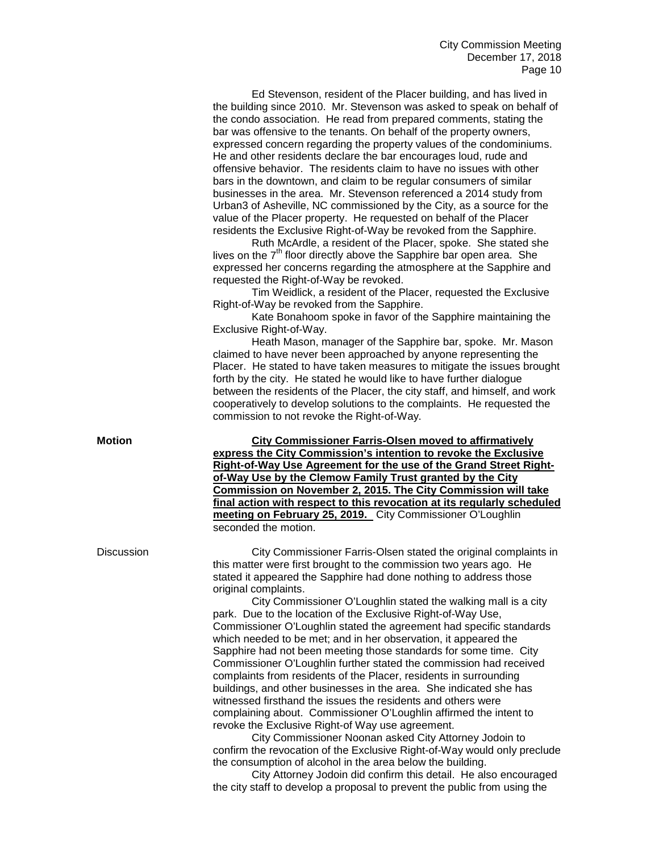Ed Stevenson, resident of the Placer building, and has lived in the building since 2010. Mr. Stevenson was asked to speak on behalf of the condo association. He read from prepared comments, stating the bar was offensive to the tenants. On behalf of the property owners, expressed concern regarding the property values of the condominiums. He and other residents declare the bar encourages loud, rude and offensive behavior. The residents claim to have no issues with other bars in the downtown, and claim to be regular consumers of similar businesses in the area. Mr. Stevenson referenced a 2014 study from Urban3 of Asheville, NC commissioned by the City, as a source for the value of the Placer property. He requested on behalf of the Placer residents the Exclusive Right-of-Way be revoked from the Sapphire.

Ruth McArdle, a resident of the Placer, spoke. She stated she lives on the  $7<sup>th</sup>$  floor directly above the Sapphire bar open area. She expressed her concerns regarding the atmosphere at the Sapphire and requested the Right-of-Way be revoked.

Tim Weidlick, a resident of the Placer, requested the Exclusive Right-of-Way be revoked from the Sapphire.

Kate Bonahoom spoke in favor of the Sapphire maintaining the Exclusive Right-of-Way.

Heath Mason, manager of the Sapphire bar, spoke. Mr. Mason claimed to have never been approached by anyone representing the Placer. He stated to have taken measures to mitigate the issues brought forth by the city. He stated he would like to have further dialogue between the residents of the Placer, the city staff, and himself, and work cooperatively to develop solutions to the complaints. He requested the commission to not revoke the Right-of-Way.

**Motion City Commissioner Farris-Olsen moved to affirmatively express the City Commission's intention to revoke the Exclusive Right-of-Way Use Agreement for the use of the Grand Street Rightof-Way Use by the Clemow Family Trust granted by the City Commission on November 2, 2015. The City Commission will take final action with respect to this revocation at its regularly scheduled meeting on February 25, 2019.** City Commissioner O'Loughlin seconded the motion.

Discussion City Commissioner Farris-Olsen stated the original complaints in this matter were first brought to the commission two years ago. He stated it appeared the Sapphire had done nothing to address those original complaints.

> City Commissioner O'Loughlin stated the walking mall is a city park. Due to the location of the Exclusive Right-of-Way Use, Commissioner O'Loughlin stated the agreement had specific standards which needed to be met; and in her observation, it appeared the Sapphire had not been meeting those standards for some time. City Commissioner O'Loughlin further stated the commission had received complaints from residents of the Placer, residents in surrounding buildings, and other businesses in the area. She indicated she has witnessed firsthand the issues the residents and others were complaining about. Commissioner O'Loughlin affirmed the intent to revoke the Exclusive Right-of Way use agreement.

City Commissioner Noonan asked City Attorney Jodoin to confirm the revocation of the Exclusive Right-of-Way would only preclude the consumption of alcohol in the area below the building.

City Attorney Jodoin did confirm this detail. He also encouraged the city staff to develop a proposal to prevent the public from using the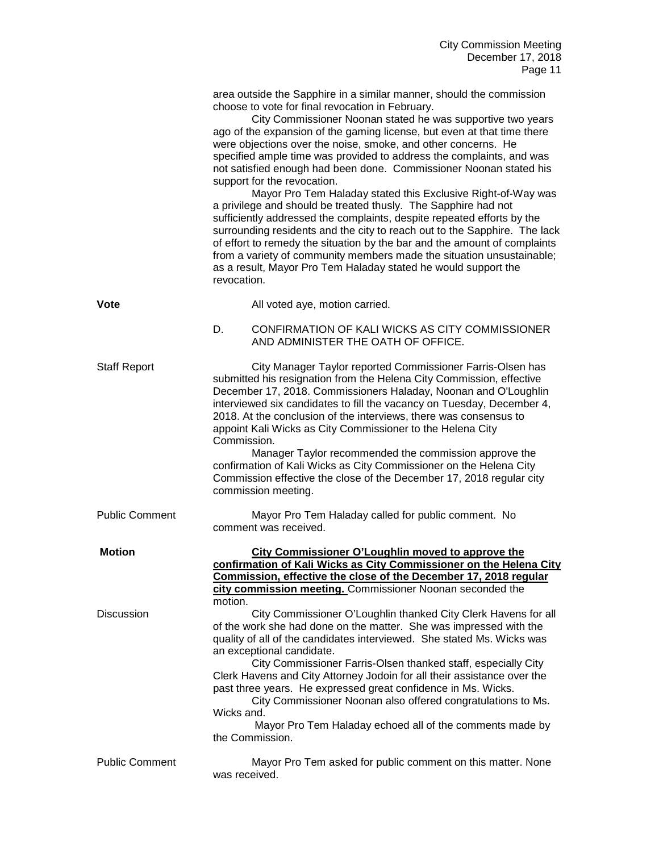|                       | area outside the Sapphire in a similar manner, should the commission<br>choose to vote for final revocation in February.<br>City Commissioner Noonan stated he was supportive two years<br>ago of the expansion of the gaming license, but even at that time there<br>were objections over the noise, smoke, and other concerns. He<br>specified ample time was provided to address the complaints, and was<br>not satisfied enough had been done. Commissioner Noonan stated his<br>support for the revocation.<br>Mayor Pro Tem Haladay stated this Exclusive Right-of-Way was<br>a privilege and should be treated thusly. The Sapphire had not<br>sufficiently addressed the complaints, despite repeated efforts by the<br>surrounding residents and the city to reach out to the Sapphire. The lack<br>of effort to remedy the situation by the bar and the amount of complaints<br>from a variety of community members made the situation unsustainable;<br>as a result, Mayor Pro Tem Haladay stated he would support the<br>revocation. |
|-----------------------|--------------------------------------------------------------------------------------------------------------------------------------------------------------------------------------------------------------------------------------------------------------------------------------------------------------------------------------------------------------------------------------------------------------------------------------------------------------------------------------------------------------------------------------------------------------------------------------------------------------------------------------------------------------------------------------------------------------------------------------------------------------------------------------------------------------------------------------------------------------------------------------------------------------------------------------------------------------------------------------------------------------------------------------------------|
| Vote                  | All voted aye, motion carried.                                                                                                                                                                                                                                                                                                                                                                                                                                                                                                                                                                                                                                                                                                                                                                                                                                                                                                                                                                                                                   |
|                       | D.<br>CONFIRMATION OF KALI WICKS AS CITY COMMISSIONER<br>AND ADMINISTER THE OATH OF OFFICE.                                                                                                                                                                                                                                                                                                                                                                                                                                                                                                                                                                                                                                                                                                                                                                                                                                                                                                                                                      |
| <b>Staff Report</b>   | City Manager Taylor reported Commissioner Farris-Olsen has<br>submitted his resignation from the Helena City Commission, effective<br>December 17, 2018. Commissioners Haladay, Noonan and O'Loughlin<br>interviewed six candidates to fill the vacancy on Tuesday, December 4,<br>2018. At the conclusion of the interviews, there was consensus to<br>appoint Kali Wicks as City Commissioner to the Helena City<br>Commission.<br>Manager Taylor recommended the commission approve the<br>confirmation of Kali Wicks as City Commissioner on the Helena City<br>Commission effective the close of the December 17, 2018 regular city<br>commission meeting.                                                                                                                                                                                                                                                                                                                                                                                  |
| <b>Public Comment</b> | Mayor Pro Tem Haladay called for public comment. No<br>comment was received.                                                                                                                                                                                                                                                                                                                                                                                                                                                                                                                                                                                                                                                                                                                                                                                                                                                                                                                                                                     |
| <b>Motion</b>         | City Commissioner O'Loughlin moved to approve the<br>confirmation of Kali Wicks as City Commissioner on the Helena City<br>Commission, effective the close of the December 17, 2018 regular<br>city commission meeting. Commissioner Noonan seconded the<br>motion.                                                                                                                                                                                                                                                                                                                                                                                                                                                                                                                                                                                                                                                                                                                                                                              |
| <b>Discussion</b>     | City Commissioner O'Loughlin thanked City Clerk Havens for all<br>of the work she had done on the matter. She was impressed with the<br>quality of all of the candidates interviewed. She stated Ms. Wicks was<br>an exceptional candidate.<br>City Commissioner Farris-Olsen thanked staff, especially City<br>Clerk Havens and City Attorney Jodoin for all their assistance over the<br>past three years. He expressed great confidence in Ms. Wicks.<br>City Commissioner Noonan also offered congratulations to Ms.<br>Wicks and.<br>Mayor Pro Tem Haladay echoed all of the comments made by<br>the Commission.                                                                                                                                                                                                                                                                                                                                                                                                                            |
| <b>Public Comment</b> | Mayor Pro Tem asked for public comment on this matter. None<br>was received.                                                                                                                                                                                                                                                                                                                                                                                                                                                                                                                                                                                                                                                                                                                                                                                                                                                                                                                                                                     |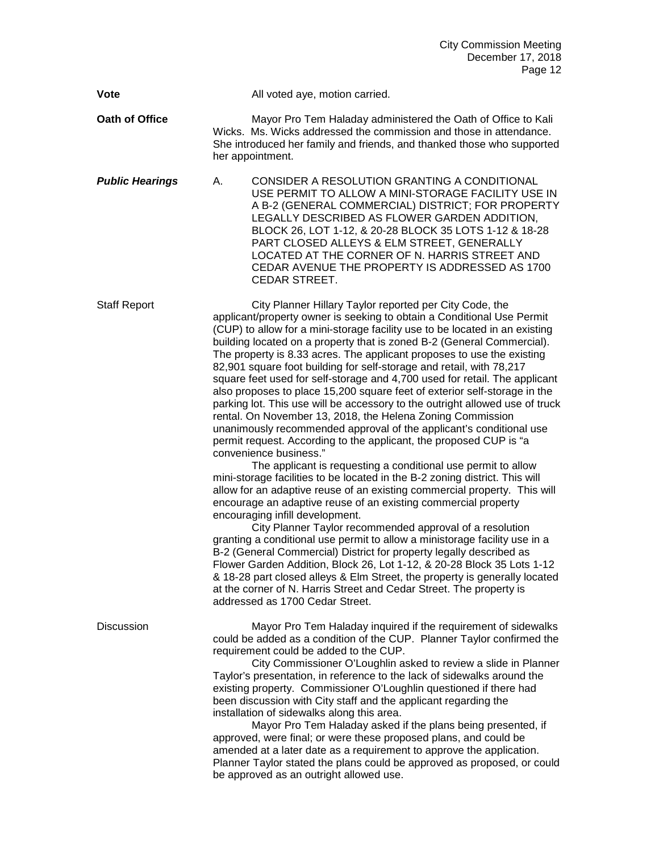|                        | December 17, 2018<br>Page 12                                                                                                                                                                                                                                                                                                                                                                                                                                                                                                                                                                                                                                                                                                                                                                                                                                                                                                                                                                                                                                                                                                                                                                                                                                                                                                                                                                                                                                                                                                                                                                                                                                                                                                                      |
|------------------------|---------------------------------------------------------------------------------------------------------------------------------------------------------------------------------------------------------------------------------------------------------------------------------------------------------------------------------------------------------------------------------------------------------------------------------------------------------------------------------------------------------------------------------------------------------------------------------------------------------------------------------------------------------------------------------------------------------------------------------------------------------------------------------------------------------------------------------------------------------------------------------------------------------------------------------------------------------------------------------------------------------------------------------------------------------------------------------------------------------------------------------------------------------------------------------------------------------------------------------------------------------------------------------------------------------------------------------------------------------------------------------------------------------------------------------------------------------------------------------------------------------------------------------------------------------------------------------------------------------------------------------------------------------------------------------------------------------------------------------------------------|
| <b>Vote</b>            | All voted aye, motion carried.                                                                                                                                                                                                                                                                                                                                                                                                                                                                                                                                                                                                                                                                                                                                                                                                                                                                                                                                                                                                                                                                                                                                                                                                                                                                                                                                                                                                                                                                                                                                                                                                                                                                                                                    |
| Oath of Office         | Mayor Pro Tem Haladay administered the Oath of Office to Kali<br>Wicks. Ms. Wicks addressed the commission and those in attendance.<br>She introduced her family and friends, and thanked those who supported<br>her appointment.                                                                                                                                                                                                                                                                                                                                                                                                                                                                                                                                                                                                                                                                                                                                                                                                                                                                                                                                                                                                                                                                                                                                                                                                                                                                                                                                                                                                                                                                                                                 |
| <b>Public Hearings</b> | CONSIDER A RESOLUTION GRANTING A CONDITIONAL<br>А.<br>USE PERMIT TO ALLOW A MINI-STORAGE FACILITY USE IN<br>A B-2 (GENERAL COMMERCIAL) DISTRICT; FOR PROPERTY<br>LEGALLY DESCRIBED AS FLOWER GARDEN ADDITION,<br>BLOCK 26, LOT 1-12, & 20-28 BLOCK 35 LOTS 1-12 & 18-28<br>PART CLOSED ALLEYS & ELM STREET, GENERALLY<br>LOCATED AT THE CORNER OF N. HARRIS STREET AND<br>CEDAR AVENUE THE PROPERTY IS ADDRESSED AS 1700<br><b>CEDAR STREET.</b>                                                                                                                                                                                                                                                                                                                                                                                                                                                                                                                                                                                                                                                                                                                                                                                                                                                                                                                                                                                                                                                                                                                                                                                                                                                                                                  |
| <b>Staff Report</b>    | City Planner Hillary Taylor reported per City Code, the<br>applicant/property owner is seeking to obtain a Conditional Use Permit<br>(CUP) to allow for a mini-storage facility use to be located in an existing<br>building located on a property that is zoned B-2 (General Commercial).<br>The property is 8.33 acres. The applicant proposes to use the existing<br>82,901 square foot building for self-storage and retail, with 78,217<br>square feet used for self-storage and 4,700 used for retail. The applicant<br>also proposes to place 15,200 square feet of exterior self-storage in the<br>parking lot. This use will be accessory to the outright allowed use of truck<br>rental. On November 13, 2018, the Helena Zoning Commission<br>unanimously recommended approval of the applicant's conditional use<br>permit request. According to the applicant, the proposed CUP is "a<br>convenience business."<br>The applicant is requesting a conditional use permit to allow<br>mini-storage facilities to be located in the B-2 zoning district. This will<br>allow for an adaptive reuse of an existing commercial property. This will<br>encourage an adaptive reuse of an existing commercial property<br>encouraging infill development.<br>City Planner Taylor recommended approval of a resolution<br>granting a conditional use permit to allow a ministorage facility use in a<br>B-2 (General Commercial) District for property legally described as<br>Flower Garden Addition, Block 26, Lot 1-12, & 20-28 Block 35 Lots 1-12<br>& 18-28 part closed alleys & Elm Street, the property is generally located<br>at the corner of N. Harris Street and Cedar Street. The property is<br>addressed as 1700 Cedar Street. |
| Discussion             | Mayor Pro Tem Haladay inquired if the requirement of sidewalks<br>could be added as a condition of the CUP. Planner Taylor confirmed the<br>requirement could be added to the CUP.<br>City Commissioner O'Loughlin asked to review a slide in Planner<br>Taylor's presentation, in reference to the lack of sidewalks around the<br>existing property. Commissioner O'Loughlin questioned if there had<br>been discussion with City staff and the applicant regarding the<br>installation of sidewalks along this area.<br>Mayor Pro Tem Haladay asked if the plans being presented, if<br>approved, were final; or were these proposed plans, and could be<br>amended at a later date as a requirement to approve the application.<br>Planner Taylor stated the plans could be approved as proposed, or could<br>be approved as an outright allowed use.                                                                                                                                                                                                                                                                                                                                                                                                                                                                                                                                                                                                                                                                                                                                                                                                                                                                                         |

City Commission Meeting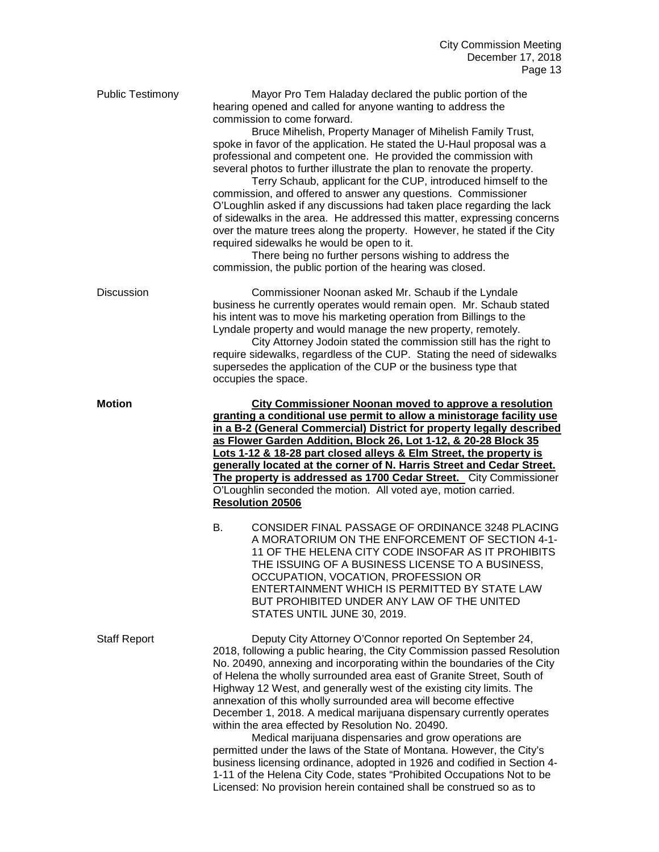| <b>Public Testimony</b> | Mayor Pro Tem Haladay declared the public portion of the<br>hearing opened and called for anyone wanting to address the<br>commission to come forward.<br>Bruce Mihelish, Property Manager of Mihelish Family Trust,<br>spoke in favor of the application. He stated the U-Haul proposal was a<br>professional and competent one. He provided the commission with<br>several photos to further illustrate the plan to renovate the property.<br>Terry Schaub, applicant for the CUP, introduced himself to the<br>commission, and offered to answer any questions. Commissioner<br>O'Loughlin asked if any discussions had taken place regarding the lack<br>of sidewalks in the area. He addressed this matter, expressing concerns<br>over the mature trees along the property. However, he stated if the City<br>required sidewalks he would be open to it.<br>There being no further persons wishing to address the<br>commission, the public portion of the hearing was closed. |  |
|-------------------------|--------------------------------------------------------------------------------------------------------------------------------------------------------------------------------------------------------------------------------------------------------------------------------------------------------------------------------------------------------------------------------------------------------------------------------------------------------------------------------------------------------------------------------------------------------------------------------------------------------------------------------------------------------------------------------------------------------------------------------------------------------------------------------------------------------------------------------------------------------------------------------------------------------------------------------------------------------------------------------------|--|
| <b>Discussion</b>       | Commissioner Noonan asked Mr. Schaub if the Lyndale<br>business he currently operates would remain open. Mr. Schaub stated<br>his intent was to move his marketing operation from Billings to the<br>Lyndale property and would manage the new property, remotely.<br>City Attorney Jodoin stated the commission still has the right to<br>require sidewalks, regardless of the CUP. Stating the need of sidewalks<br>supersedes the application of the CUP or the business type that<br>occupies the space.                                                                                                                                                                                                                                                                                                                                                                                                                                                                         |  |
| <b>Motion</b>           | <b>City Commissioner Noonan moved to approve a resolution</b><br>granting a conditional use permit to allow a ministorage facility use<br>in a B-2 (General Commercial) District for property legally described<br>as Flower Garden Addition, Block 26, Lot 1-12, & 20-28 Block 35<br>Lots 1-12 & 18-28 part closed alleys & Elm Street, the property is<br>generally located at the corner of N. Harris Street and Cedar Street.<br>The property is addressed as 1700 Cedar Street. City Commissioner<br>O'Loughlin seconded the motion. All voted aye, motion carried.<br><b>Resolution 20506</b>                                                                                                                                                                                                                                                                                                                                                                                  |  |
|                         | CONSIDER FINAL PASSAGE OF ORDINANCE 3248 PLACING<br>В.<br>A MORATORIUM ON THE ENFORCEMENT OF SECTION 4-1-<br>11 OF THE HELENA CITY CODE INSOFAR AS IT PROHIBITS<br>THE ISSUING OF A BUSINESS LICENSE TO A BUSINESS,<br>OCCUPATION, VOCATION, PROFESSION OR<br>ENTERTAINMENT WHICH IS PERMITTED BY STATE LAW<br>BUT PROHIBITED UNDER ANY LAW OF THE UNITED<br>STATES UNTIL JUNE 30, 2019.                                                                                                                                                                                                                                                                                                                                                                                                                                                                                                                                                                                             |  |
| <b>Staff Report</b>     | Deputy City Attorney O'Connor reported On September 24,<br>2018, following a public hearing, the City Commission passed Resolution<br>No. 20490, annexing and incorporating within the boundaries of the City<br>of Helena the wholly surrounded area east of Granite Street, South of<br>Highway 12 West, and generally west of the existing city limits. The<br>annexation of this wholly surrounded area will become effective<br>December 1, 2018. A medical marijuana dispensary currently operates<br>within the area effected by Resolution No. 20490.<br>Medical marijuana dispensaries and grow operations are<br>permitted under the laws of the State of Montana. However, the City's<br>business licensing ordinance, adopted in 1926 and codified in Section 4-<br>1-11 of the Helena City Code, states "Prohibited Occupations Not to be                                                                                                                               |  |

Licensed: No provision herein contained shall be construed so as to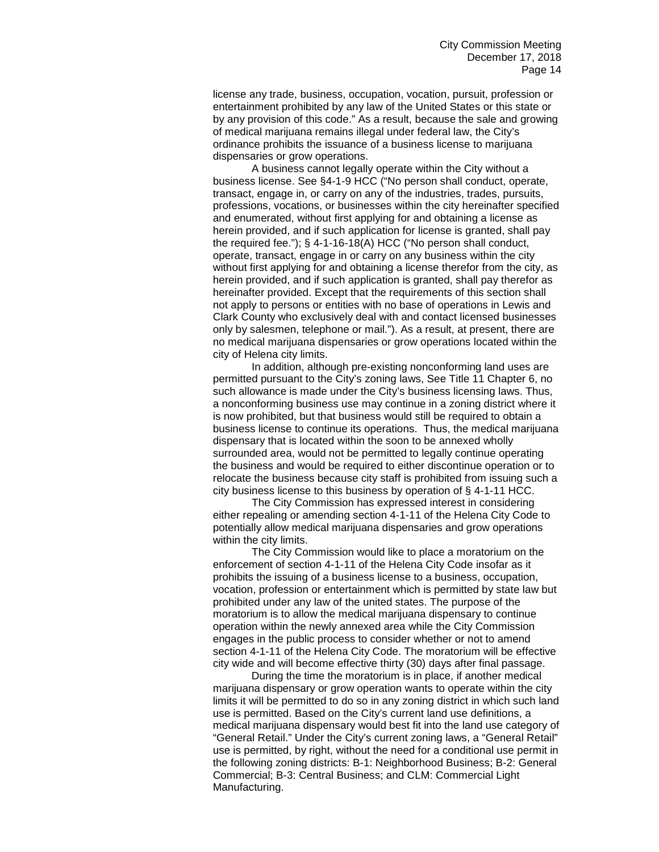license any trade, business, occupation, vocation, pursuit, profession or entertainment prohibited by any law of the United States or this state or by any provision of this code." As a result, because the sale and growing of medical marijuana remains illegal under federal law, the City's ordinance prohibits the issuance of a business license to marijuana dispensaries or grow operations.

A business cannot legally operate within the City without a business license. See §4-1-9 HCC ("No person shall conduct, operate, transact, engage in, or carry on any of the industries, trades, pursuits, professions, vocations, or businesses within the city hereinafter specified and enumerated, without first applying for and obtaining a license as herein provided, and if such application for license is granted, shall pay the required fee."); § 4-1-16-18(A) HCC ("No person shall conduct, operate, transact, engage in or carry on any business within the city without first applying for and obtaining a license therefor from the city, as herein provided, and if such application is granted, shall pay therefor as hereinafter provided. Except that the requirements of this section shall not apply to persons or entities with no base of operations in Lewis and Clark County who exclusively deal with and contact licensed businesses only by salesmen, telephone or mail."). As a result, at present, there are no medical marijuana dispensaries or grow operations located within the city of Helena city limits.

In addition, although pre-existing nonconforming land uses are permitted pursuant to the City's zoning laws, See Title 11 Chapter 6, no such allowance is made under the City's business licensing laws. Thus, a nonconforming business use may continue in a zoning district where it is now prohibited, but that business would still be required to obtain a business license to continue its operations. Thus, the medical marijuana dispensary that is located within the soon to be annexed wholly surrounded area, would not be permitted to legally continue operating the business and would be required to either discontinue operation or to relocate the business because city staff is prohibited from issuing such a city business license to this business by operation of § 4-1-11 HCC.

The City Commission has expressed interest in considering either repealing or amending section 4-1-11 of the Helena City Code to potentially allow medical marijuana dispensaries and grow operations within the city limits.

The City Commission would like to place a moratorium on the enforcement of section 4-1-11 of the Helena City Code insofar as it prohibits the issuing of a business license to a business, occupation, vocation, profession or entertainment which is permitted by state law but prohibited under any law of the united states. The purpose of the moratorium is to allow the medical marijuana dispensary to continue operation within the newly annexed area while the City Commission engages in the public process to consider whether or not to amend section 4-1-11 of the Helena City Code. The moratorium will be effective city wide and will become effective thirty (30) days after final passage.

During the time the moratorium is in place, if another medical marijuana dispensary or grow operation wants to operate within the city limits it will be permitted to do so in any zoning district in which such land use is permitted. Based on the City's current land use definitions, a medical marijuana dispensary would best fit into the land use category of "General Retail." Under the City's current zoning laws, a "General Retail" use is permitted, by right, without the need for a conditional use permit in the following zoning districts: B-1: Neighborhood Business; B-2: General Commercial; B-3: Central Business; and CLM: Commercial Light Manufacturing.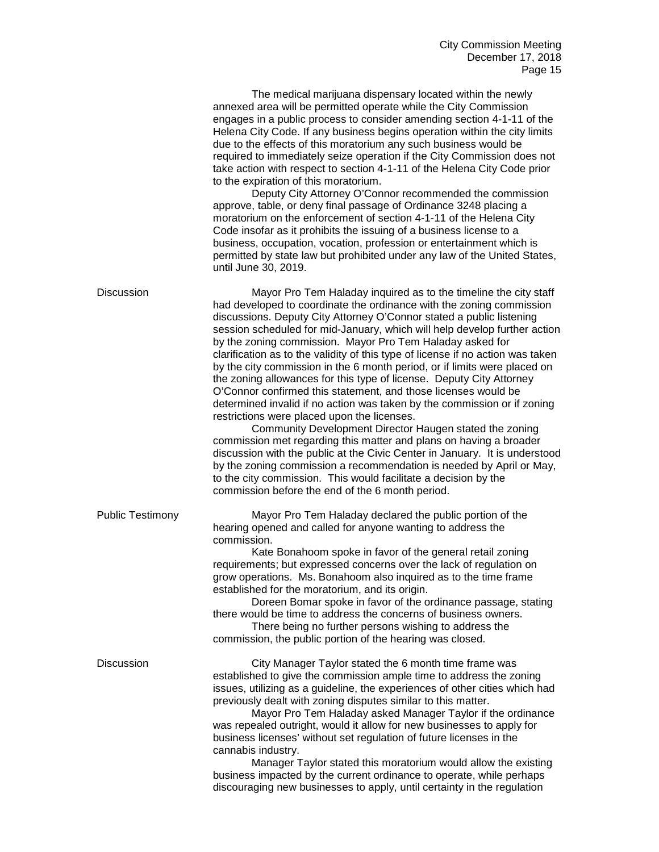|                         | The medical marijuana dispensary located within the newly<br>annexed area will be permitted operate while the City Commission<br>engages in a public process to consider amending section 4-1-11 of the<br>Helena City Code. If any business begins operation within the city limits<br>due to the effects of this moratorium any such business would be<br>required to immediately seize operation if the City Commission does not<br>take action with respect to section 4-1-11 of the Helena City Code prior<br>to the expiration of this moratorium.<br>Deputy City Attorney O'Connor recommended the commission<br>approve, table, or deny final passage of Ordinance 3248 placing a<br>moratorium on the enforcement of section 4-1-11 of the Helena City<br>Code insofar as it prohibits the issuing of a business license to a<br>business, occupation, vocation, profession or entertainment which is<br>permitted by state law but prohibited under any law of the United States,<br>until June 30, 2019.                                                                                                                                                                                            |
|-------------------------|----------------------------------------------------------------------------------------------------------------------------------------------------------------------------------------------------------------------------------------------------------------------------------------------------------------------------------------------------------------------------------------------------------------------------------------------------------------------------------------------------------------------------------------------------------------------------------------------------------------------------------------------------------------------------------------------------------------------------------------------------------------------------------------------------------------------------------------------------------------------------------------------------------------------------------------------------------------------------------------------------------------------------------------------------------------------------------------------------------------------------------------------------------------------------------------------------------------|
| <b>Discussion</b>       | Mayor Pro Tem Haladay inquired as to the timeline the city staff<br>had developed to coordinate the ordinance with the zoning commission<br>discussions. Deputy City Attorney O'Connor stated a public listening<br>session scheduled for mid-January, which will help develop further action<br>by the zoning commission. Mayor Pro Tem Haladay asked for<br>clarification as to the validity of this type of license if no action was taken<br>by the city commission in the 6 month period, or if limits were placed on<br>the zoning allowances for this type of license. Deputy City Attorney<br>O'Connor confirmed this statement, and those licenses would be<br>determined invalid if no action was taken by the commission or if zoning<br>restrictions were placed upon the licenses.<br>Community Development Director Haugen stated the zoning<br>commission met regarding this matter and plans on having a broader<br>discussion with the public at the Civic Center in January. It is understood<br>by the zoning commission a recommendation is needed by April or May,<br>to the city commission. This would facilitate a decision by the<br>commission before the end of the 6 month period. |
| <b>Public Testimony</b> | Mayor Pro Tem Haladay declared the public portion of the<br>hearing opened and called for anyone wanting to address the<br>commission.<br>Kate Bonahoom spoke in favor of the general retail zoning<br>requirements; but expressed concerns over the lack of regulation on<br>grow operations. Ms. Bonahoom also inquired as to the time frame<br>established for the moratorium, and its origin.<br>Doreen Bomar spoke in favor of the ordinance passage, stating<br>there would be time to address the concerns of business owners.<br>There being no further persons wishing to address the<br>commission, the public portion of the hearing was closed.                                                                                                                                                                                                                                                                                                                                                                                                                                                                                                                                                    |
| <b>Discussion</b>       | City Manager Taylor stated the 6 month time frame was<br>established to give the commission ample time to address the zoning<br>issues, utilizing as a guideline, the experiences of other cities which had<br>previously dealt with zoning disputes similar to this matter.<br>Mayor Pro Tem Haladay asked Manager Taylor if the ordinance<br>was repealed outright, would it allow for new businesses to apply for<br>business licenses' without set regulation of future licenses in the<br>cannabis industry.<br>Manager Taylor stated this moratorium would allow the existing<br>business impacted by the current ordinance to operate, while perhaps<br>discouraging new businesses to apply, until certainty in the regulation                                                                                                                                                                                                                                                                                                                                                                                                                                                                         |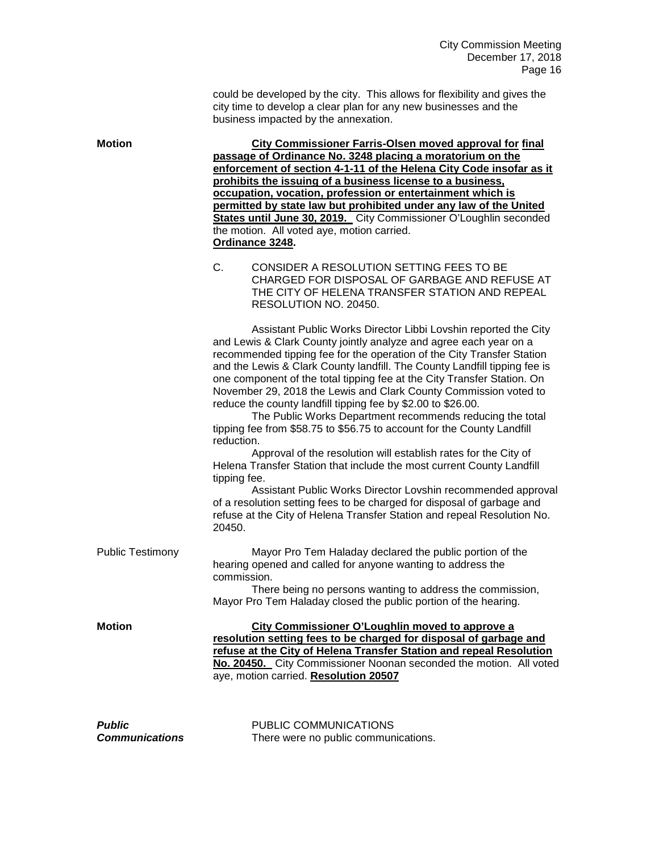could be developed by the city. This allows for flexibility and gives the city time to develop a clear plan for any new businesses and the business impacted by the annexation.

**Motion City Commissioner Farris-Olsen moved approval for final passage of Ordinance No. 3248 placing a moratorium on the enforcement of section 4-1-11 of the Helena City Code insofar as it prohibits the issuing of a business license to a business, occupation, vocation, profession or entertainment which is permitted by state law but prohibited under any law of the United States until June 30, 2019.** City Commissioner O'Loughlin seconded the motion. All voted aye, motion carried. **Ordinance 3248.**

> C. CONSIDER A RESOLUTION SETTING FEES TO BE CHARGED FOR DISPOSAL OF GARBAGE AND REFUSE AT THE CITY OF HELENA TRANSFER STATION AND REPEAL RESOLUTION NO. 20450.

> Assistant Public Works Director Libbi Lovshin reported the City and Lewis & Clark County jointly analyze and agree each year on a recommended tipping fee for the operation of the City Transfer Station and the Lewis & Clark County landfill. The County Landfill tipping fee is one component of the total tipping fee at the City Transfer Station. On November 29, 2018 the Lewis and Clark County Commission voted to reduce the county landfill tipping fee by \$2.00 to \$26.00.

The Public Works Department recommends reducing the total tipping fee from \$58.75 to \$56.75 to account for the County Landfill reduction.

Approval of the resolution will establish rates for the City of Helena Transfer Station that include the most current County Landfill tipping fee.

Assistant Public Works Director Lovshin recommended approval of a resolution setting fees to be charged for disposal of garbage and refuse at the City of Helena Transfer Station and repeal Resolution No. 20450.

Public Testimony Mayor Pro Tem Haladay declared the public portion of the hearing opened and called for anyone wanting to address the commission.

There being no persons wanting to address the commission, Mayor Pro Tem Haladay closed the public portion of the hearing.

**Motion City Commissioner O'Loughlin moved to approve a resolution setting fees to be charged for disposal of garbage and refuse at the City of Helena Transfer Station and repeal Resolution No. 20450.** City Commissioner Noonan seconded the motion. All voted aye, motion carried. **Resolution 20507**

**Public** PUBLIC COMMUNICATIONS *Communications* There were no public communications.